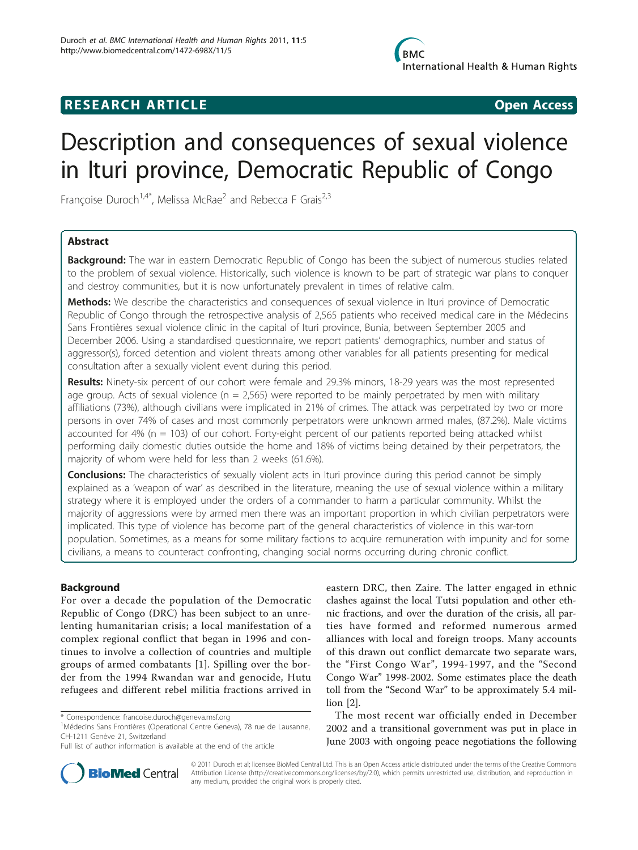# **RESEARCH ARTICLE Example 2018 Open Access**

# Description and consequences of sexual violence in Ituri province, Democratic Republic of Congo

Françoise Duroch<sup>1,4\*</sup>, Melissa McRae<sup>2</sup> and Rebecca F Grais<sup>2,3</sup>

# Abstract

Background: The war in eastern Democratic Republic of Congo has been the subject of numerous studies related to the problem of sexual violence. Historically, such violence is known to be part of strategic war plans to conquer and destroy communities, but it is now unfortunately prevalent in times of relative calm.

Methods: We describe the characteristics and consequences of sexual violence in Ituri province of Democratic Republic of Congo through the retrospective analysis of 2,565 patients who received medical care in the Médecins Sans Frontières sexual violence clinic in the capital of Ituri province, Bunia, between September 2005 and December 2006. Using a standardised questionnaire, we report patients' demographics, number and status of aggressor(s), forced detention and violent threats among other variables for all patients presenting for medical consultation after a sexually violent event during this period.

Results: Ninety-six percent of our cohort were female and 29.3% minors, 18-29 years was the most represented age group. Acts of sexual violence ( $n = 2,565$ ) were reported to be mainly perpetrated by men with military affiliations (73%), although civilians were implicated in 21% of crimes. The attack was perpetrated by two or more persons in over 74% of cases and most commonly perpetrators were unknown armed males, (87.2%). Male victims accounted for 4% ( $n = 103$ ) of our cohort. Forty-eight percent of our patients reported being attacked whilst performing daily domestic duties outside the home and 18% of victims being detained by their perpetrators, the majority of whom were held for less than 2 weeks (61.6%).

**Conclusions:** The characteristics of sexually violent acts in Ituri province during this period cannot be simply explained as a 'weapon of war' as described in the literature, meaning the use of sexual violence within a military strategy where it is employed under the orders of a commander to harm a particular community. Whilst the majority of aggressions were by armed men there was an important proportion in which civilian perpetrators were implicated. This type of violence has become part of the general characteristics of violence in this war-torn population. Sometimes, as a means for some military factions to acquire remuneration with impunity and for some civilians, a means to counteract confronting, changing social norms occurring during chronic conflict.

# Background

For over a decade the population of the Democratic Republic of Congo (DRC) has been subject to an unrelenting humanitarian crisis; a local manifestation of a complex regional conflict that began in 1996 and continues to involve a collection of countries and multiple groups of armed combatants [\[1](#page-7-0)]. Spilling over the border from the 1994 Rwandan war and genocide, Hutu refugees and different rebel militia fractions arrived in

eastern DRC, then Zaire. The latter engaged in ethnic clashes against the local Tutsi population and other ethnic fractions, and over the duration of the crisis, all parties have formed and reformed numerous armed alliances with local and foreign troops. Many accounts of this drawn out conflict demarcate two separate wars, the "First Congo War", 1994-1997, and the "Second Congo War" 1998-2002. Some estimates place the death toll from the "Second War" to be approximately 5.4 million [[2\]](#page-7-0).

The most recent war officially ended in December 2002 and a transitional government was put in place in June 2003 with ongoing peace negotiations the following



© 2011 Duroch et al; licensee BioMed Central Ltd. This is an Open Access article distributed under the terms of the Creative Commons Attribution License [\(http://creativecommons.org/licenses/by/2.0](http://creativecommons.org/licenses/by/2.0)), which permits unrestricted use, distribution, and reproduction in any medium, provided the original work is properly cited.

<sup>\*</sup> Correspondence: [francoise.duroch@geneva.msf.org](mailto:francoise.duroch@geneva.msf.org)

<sup>&</sup>lt;sup>1</sup>Médecins Sans Frontières (Operational Centre Geneva), 78 rue de Lausanne, CH-1211 Genève 21, Switzerland

Full list of author information is available at the end of the article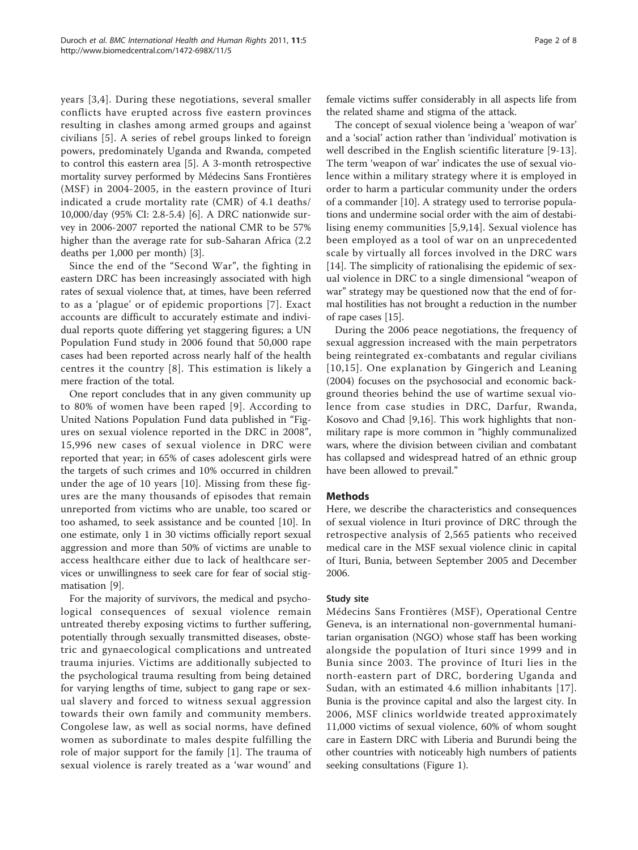years [[3,4](#page-7-0)]. During these negotiations, several smaller conflicts have erupted across five eastern provinces resulting in clashes among armed groups and against civilians [[5](#page-7-0)]. A series of rebel groups linked to foreign powers, predominately Uganda and Rwanda, competed to control this eastern area [\[5](#page-7-0)]. A 3-month retrospective mortality survey performed by Médecins Sans Frontières (MSF) in 2004-2005, in the eastern province of Ituri indicated a crude mortality rate (CMR) of 4.1 deaths/ 10,000/day (95% CI: 2.8-5.4) [\[6](#page-7-0)]. A DRC nationwide survey in 2006-2007 reported the national CMR to be 57% higher than the average rate for sub-Saharan Africa (2.2 deaths per 1,000 per month) [[3](#page-7-0)].

Since the end of the "Second War", the fighting in eastern DRC has been increasingly associated with high rates of sexual violence that, at times, have been referred to as a 'plague' or of epidemic proportions [\[7\]](#page-7-0). Exact accounts are difficult to accurately estimate and individual reports quote differing yet staggering figures; a UN Population Fund study in 2006 found that 50,000 rape cases had been reported across nearly half of the health centres it the country [[8\]](#page-7-0). This estimation is likely a mere fraction of the total.

One report concludes that in any given community up to 80% of women have been raped [[9](#page-7-0)]. According to United Nations Population Fund data published in "Figures on sexual violence reported in the DRC in 2008", 15,996 new cases of sexual violence in DRC were reported that year; in 65% of cases adolescent girls were the targets of such crimes and 10% occurred in children under the age of 10 years [[10](#page-7-0)]. Missing from these figures are the many thousands of episodes that remain unreported from victims who are unable, too scared or too ashamed, to seek assistance and be counted [\[10](#page-7-0)]. In one estimate, only 1 in 30 victims officially report sexual aggression and more than 50% of victims are unable to access healthcare either due to lack of healthcare services or unwillingness to seek care for fear of social stigmatisation [[9](#page-7-0)].

For the majority of survivors, the medical and psychological consequences of sexual violence remain untreated thereby exposing victims to further suffering, potentially through sexually transmitted diseases, obstetric and gynaecological complications and untreated trauma injuries. Victims are additionally subjected to the psychological trauma resulting from being detained for varying lengths of time, subject to gang rape or sexual slavery and forced to witness sexual aggression towards their own family and community members. Congolese law, as well as social norms, have defined women as subordinate to males despite fulfilling the role of major support for the family [\[1](#page-7-0)]. The trauma of sexual violence is rarely treated as a 'war wound' and female victims suffer considerably in all aspects life from the related shame and stigma of the attack.

The concept of sexual violence being a 'weapon of war' and a 'social' action rather than 'individual' motivation is well described in the English scientific literature [\[9](#page-7-0)-[13](#page-7-0)]. The term 'weapon of war' indicates the use of sexual violence within a military strategy where it is employed in order to harm a particular community under the orders of a commander [[10\]](#page-7-0). A strategy used to terrorise populations and undermine social order with the aim of destabilising enemy communities [[5,9,14\]](#page-7-0). Sexual violence has been employed as a tool of war on an unprecedented scale by virtually all forces involved in the DRC wars [[14](#page-7-0)]. The simplicity of rationalising the epidemic of sexual violence in DRC to a single dimensional "weapon of war" strategy may be questioned now that the end of formal hostilities has not brought a reduction in the number of rape cases [\[15](#page-7-0)].

During the 2006 peace negotiations, the frequency of sexual aggression increased with the main perpetrators being reintegrated ex-combatants and regular civilians [[10](#page-7-0),[15](#page-7-0)]. One explanation by Gingerich and Leaning (2004) focuses on the psychosocial and economic background theories behind the use of wartime sexual violence from case studies in DRC, Darfur, Rwanda, Kosovo and Chad [[9,16\]](#page-7-0). This work highlights that nonmilitary rape is more common in "highly communalized wars, where the division between civilian and combatant has collapsed and widespread hatred of an ethnic group have been allowed to prevail."

# Methods

Here, we describe the characteristics and consequences of sexual violence in Ituri province of DRC through the retrospective analysis of 2,565 patients who received medical care in the MSF sexual violence clinic in capital of Ituri, Bunia, between September 2005 and December 2006.

### Study site

Médecins Sans Frontières (MSF), Operational Centre Geneva, is an international non-governmental humanitarian organisation (NGO) whose staff has been working alongside the population of Ituri since 1999 and in Bunia since 2003. The province of Ituri lies in the north-eastern part of DRC, bordering Uganda and Sudan, with an estimated 4.6 million inhabitants [[17\]](#page-7-0). Bunia is the province capital and also the largest city. In 2006, MSF clinics worldwide treated approximately 11,000 victims of sexual violence, 60% of whom sought care in Eastern DRC with Liberia and Burundi being the other countries with noticeably high numbers of patients seeking consultations (Figure [1](#page-2-0)).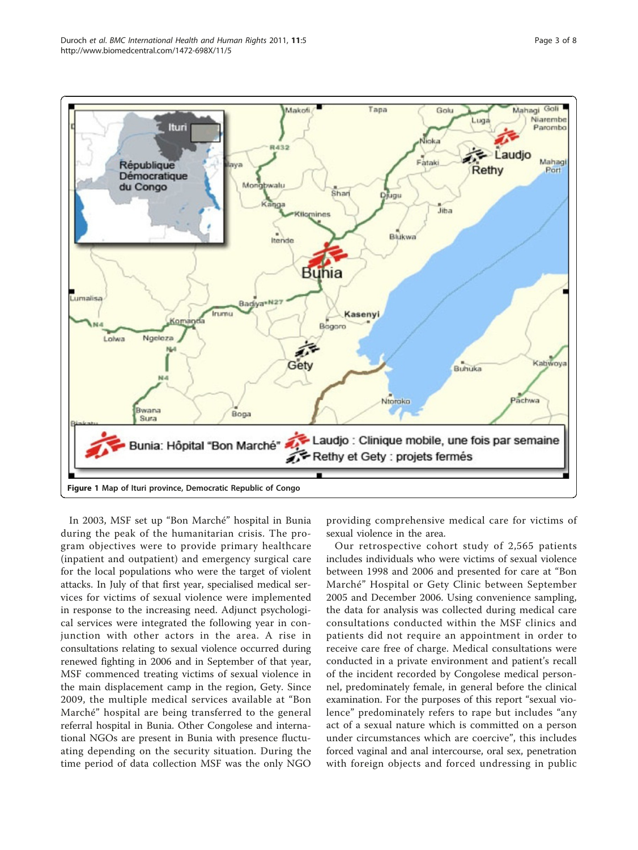<span id="page-2-0"></span>

In 2003, MSF set up "Bon Marché" hospital in Bunia during the peak of the humanitarian crisis. The program objectives were to provide primary healthcare (inpatient and outpatient) and emergency surgical care for the local populations who were the target of violent attacks. In July of that first year, specialised medical services for victims of sexual violence were implemented in response to the increasing need. Adjunct psychological services were integrated the following year in conjunction with other actors in the area. A rise in consultations relating to sexual violence occurred during renewed fighting in 2006 and in September of that year, MSF commenced treating victims of sexual violence in the main displacement camp in the region, Gety. Since 2009, the multiple medical services available at "Bon Marché" hospital are being transferred to the general referral hospital in Bunia. Other Congolese and international NGOs are present in Bunia with presence fluctuating depending on the security situation. During the time period of data collection MSF was the only NGO

providing comprehensive medical care for victims of sexual violence in the area.

Our retrospective cohort study of 2,565 patients includes individuals who were victims of sexual violence between 1998 and 2006 and presented for care at "Bon Marché" Hospital or Gety Clinic between September 2005 and December 2006. Using convenience sampling, the data for analysis was collected during medical care consultations conducted within the MSF clinics and patients did not require an appointment in order to receive care free of charge. Medical consultations were conducted in a private environment and patient's recall of the incident recorded by Congolese medical personnel, predominately female, in general before the clinical examination. For the purposes of this report "sexual violence" predominately refers to rape but includes "any act of a sexual nature which is committed on a person under circumstances which are coercive", this includes forced vaginal and anal intercourse, oral sex, penetration with foreign objects and forced undressing in public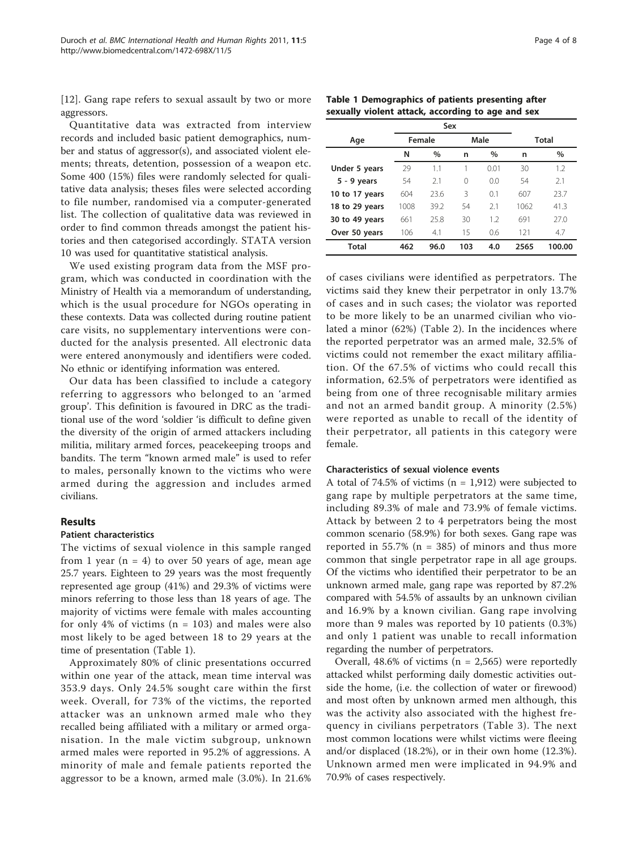[[12\]](#page-7-0). Gang rape refers to sexual assault by two or more aggressors.

Quantitative data was extracted from interview records and included basic patient demographics, number and status of aggressor(s), and associated violent elements; threats, detention, possession of a weapon etc. Some 400 (15%) files were randomly selected for qualitative data analysis; theses files were selected according to file number, randomised via a computer-generated list. The collection of qualitative data was reviewed in order to find common threads amongst the patient histories and then categorised accordingly. STATA version 10 was used for quantitative statistical analysis.

We used existing program data from the MSF program, which was conducted in coordination with the Ministry of Health via a memorandum of understanding, which is the usual procedure for NGOs operating in these contexts. Data was collected during routine patient care visits, no supplementary interventions were conducted for the analysis presented. All electronic data were entered anonymously and identifiers were coded. No ethnic or identifying information was entered.

Our data has been classified to include a category referring to aggressors who belonged to an 'armed group'. This definition is favoured in DRC as the traditional use of the word 'soldier 'is difficult to define given the diversity of the origin of armed attackers including militia, military armed forces, peacekeeping troops and bandits. The term "known armed male" is used to refer to males, personally known to the victims who were armed during the aggression and includes armed civilians.

# Results

# Patient characteristics

The victims of sexual violence in this sample ranged from 1 year  $(n = 4)$  to over 50 years of age, mean age 25.7 years. Eighteen to 29 years was the most frequently represented age group (41%) and 29.3% of victims were minors referring to those less than 18 years of age. The majority of victims were female with males accounting for only 4% of victims  $(n = 103)$  and males were also most likely to be aged between 18 to 29 years at the time of presentation (Table 1).

Approximately 80% of clinic presentations occurred within one year of the attack, mean time interval was 353.9 days. Only 24.5% sought care within the first week. Overall, for 73% of the victims, the reported attacker was an unknown armed male who they recalled being affiliated with a military or armed organisation. In the male victim subgroup, unknown armed males were reported in 95.2% of aggressions. A minority of male and female patients reported the aggressor to be a known, armed male (3.0%). In 21.6%

|  |  | Table 1 Demographics of patients presenting after |  |  |
|--|--|---------------------------------------------------|--|--|
|  |  | sexually violent attack, according to age and sex |  |  |

|                |        | Sex           |          |      |       |        |  |
|----------------|--------|---------------|----------|------|-------|--------|--|
| Age            | Female |               |          | Male | Total |        |  |
|                | N      | $\frac{0}{0}$ | n        | $\%$ |       | $\%$   |  |
| Under 5 years  | 29     | 1.1           | 1        | 0.01 | 30    | 1.2    |  |
| $5 - 9$ years  | 54     | 2.1           | $\Omega$ | 0.0  | 54    | 2.1    |  |
| 10 to 17 years | 604    | 23.6          | ζ        | 0.1  | 607   | 23.7   |  |
| 18 to 29 years | 1008   | 39.2          | 54       | 21   | 1062  | 41.3   |  |
| 30 to 49 years | 661    | 25.8          | 30       | 1.2  | 691   | 27.0   |  |
| Over 50 years  | 106    | 4.1           | 15       | 0.6  | 121   | 4.7    |  |
| Total          | 462    | 96.0          | 103      | 4.0  | 2565  | 100.00 |  |

of cases civilians were identified as perpetrators. The victims said they knew their perpetrator in only 13.7% of cases and in such cases; the violator was reported to be more likely to be an unarmed civilian who violated a minor (62%) (Table [2\)](#page-4-0). In the incidences where the reported perpetrator was an armed male, 32.5% of victims could not remember the exact military affiliation. Of the 67.5% of victims who could recall this information, 62.5% of perpetrators were identified as being from one of three recognisable military armies and not an armed bandit group. A minority (2.5%) were reported as unable to recall of the identity of their perpetrator, all patients in this category were female.

#### Characteristics of sexual violence events

A total of  $74.5\%$  of victims (n = 1,912) were subjected to gang rape by multiple perpetrators at the same time, including 89.3% of male and 73.9% of female victims. Attack by between 2 to 4 perpetrators being the most common scenario (58.9%) for both sexes. Gang rape was reported in  $55.7\%$  (n = 385) of minors and thus more common that single perpetrator rape in all age groups. Of the victims who identified their perpetrator to be an unknown armed male, gang rape was reported by 87.2% compared with 54.5% of assaults by an unknown civilian and 16.9% by a known civilian. Gang rape involving more than 9 males was reported by 10 patients (0.3%) and only 1 patient was unable to recall information regarding the number of perpetrators.

Overall,  $48.6\%$  of victims (n = 2,565) were reportedly attacked whilst performing daily domestic activities outside the home, (i.e. the collection of water or firewood) and most often by unknown armed men although, this was the activity also associated with the highest frequency in civilians perpetrators (Table [3\)](#page-4-0). The next most common locations were whilst victims were fleeing and/or displaced (18.2%), or in their own home (12.3%). Unknown armed men were implicated in 94.9% and 70.9% of cases respectively.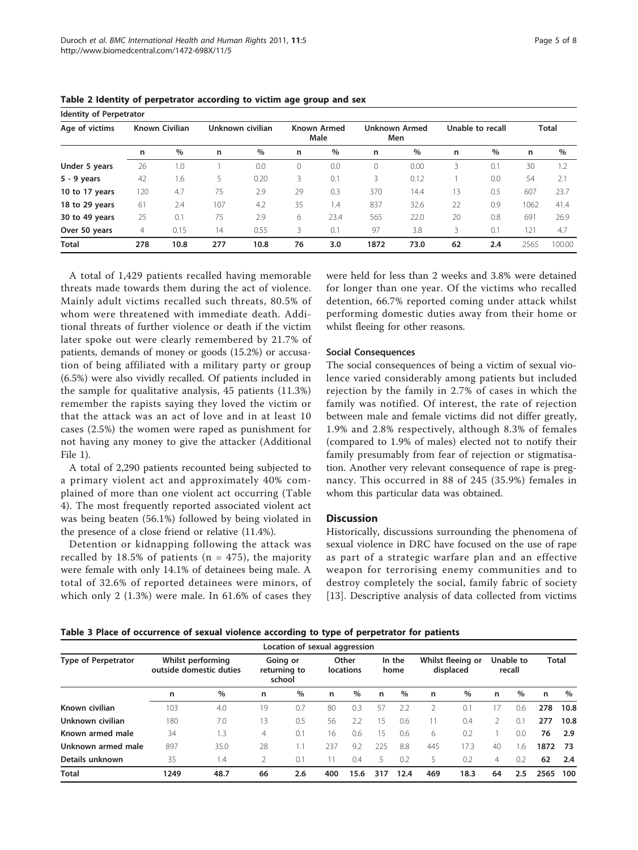| Identity of Perpetrator |                       |      |                  |      |                            |      |                             |      |                  |      |              |        |
|-------------------------|-----------------------|------|------------------|------|----------------------------|------|-----------------------------|------|------------------|------|--------------|--------|
| Age of victims          | <b>Known Civilian</b> |      | Unknown civilian |      | <b>Known Armed</b><br>Male |      | <b>Unknown Armed</b><br>Men |      | Unable to recall |      | <b>Total</b> |        |
|                         | n                     | $\%$ | n                | $\%$ | n                          | $\%$ | n                           | $\%$ | n                | $\%$ | n            | $\%$   |
| Under 5 years           | 26                    | 1.0  |                  | 0.0  | $\overline{0}$             | 0.0  | $\Omega$                    | 0.00 | 3                | 0.1  | 30           | 1.2    |
| $5 - 9$ years           | 42                    | 1.6  | 5                | 0.20 | 3                          | 0.1  | 3                           | 0.12 |                  | 0.0  | 54           | 2.1    |
| 10 to 17 years          | 120                   | 4.7  | 75               | 2.9  | 29                         | 0.3  | 370                         | 14.4 | 13               | 0.5  | 607          | 23.7   |
| 18 to 29 years          | 61                    | 2.4  | 107              | 4.2  | 35                         | 1.4  | 837                         | 32.6 | 22               | 0.9  | 1062         | 41.4   |
| 30 to 49 years          | 25                    | 0.1  | 75               | 2.9  | 6                          | 23.4 | 565                         | 22.0 | 20               | 0.8  | 691          | 26.9   |
| Over 50 years           | $\overline{4}$        | 0.15 | 14               | 0.55 | 3                          | 0.1  | 97                          | 3.8  | 3                | 0.1  | 121          | 4.7    |
| <b>Total</b>            | 278                   | 10.8 | 277              | 10.8 | 76                         | 3.0  | 1872                        | 73.0 | 62               | 2.4  | 2565         | 100.00 |

<span id="page-4-0"></span>Table 2 Identity of perpetrator according to victim age group and sex

A total of 1,429 patients recalled having memorable threats made towards them during the act of violence. Mainly adult victims recalled such threats, 80.5% of whom were threatened with immediate death. Additional threats of further violence or death if the victim later spoke out were clearly remembered by 21.7% of patients, demands of money or goods (15.2%) or accusation of being affiliated with a military party or group (6.5%) were also vividly recalled. Of patients included in the sample for qualitative analysis, 45 patients (11.3%) remember the rapists saying they loved the victim or that the attack was an act of love and in at least 10 cases (2.5%) the women were raped as punishment for not having any money to give the attacker (Additional File [1](#page-7-0)).

A total of 2,290 patients recounted being subjected to a primary violent act and approximately 40% complained of more than one violent act occurring (Table [4\)](#page-5-0). The most frequently reported associated violent act was being beaten (56.1%) followed by being violated in the presence of a close friend or relative (11.4%).

Detention or kidnapping following the attack was recalled by 18.5% of patients ( $n = 475$ ), the majority were female with only 14.1% of detainees being male. A total of 32.6% of reported detainees were minors, of which only 2 (1.3%) were male. In 61.6% of cases they

were held for less than 2 weeks and 3.8% were detained for longer than one year. Of the victims who recalled detention, 66.7% reported coming under attack whilst performing domestic duties away from their home or whilst fleeing for other reasons.

#### Social Consequences

The social consequences of being a victim of sexual violence varied considerably among patients but included rejection by the family in 2.7% of cases in which the family was notified. Of interest, the rate of rejection between male and female victims did not differ greatly, 1.9% and 2.8% respectively, although 8.3% of females (compared to 1.9% of males) elected not to notify their family presumably from fear of rejection or stigmatisation. Another very relevant consequence of rape is pregnancy. This occurred in 88 of 245 (35.9%) females in whom this particular data was obtained.

## **Discussion**

Historically, discussions surrounding the phenomena of sexual violence in DRC have focused on the use of rape as part of a strategic warfare plan and an effective weapon for terrorising enemy communities and to destroy completely the social, family fabric of society [[13\]](#page-7-0). Descriptive analysis of data collected from victims

Table 3 Place of occurrence of sexual violence according to type of perpetrator for patients

| Location of sexual aggression |                                              |      |                                    |      |                    |      |                |      |                                |      |                     |      |       |      |
|-------------------------------|----------------------------------------------|------|------------------------------------|------|--------------------|------|----------------|------|--------------------------------|------|---------------------|------|-------|------|
| <b>Type of Perpetrator</b>    | Whilst performing<br>outside domestic duties |      | Going or<br>returning to<br>school |      | Other<br>locations |      | In the<br>home |      | Whilst fleeing or<br>displaced |      | Unable to<br>recall |      | Total |      |
|                               | n                                            | $\%$ | n                                  | $\%$ | n                  | $\%$ | n              | $\%$ | n                              | $\%$ | n                   | $\%$ | n     | $\%$ |
| Known civilian                | 103                                          | 4.0  | 19                                 | 0.7  | 80                 | 0.3  | 57             | 2.2  |                                | 0.1  |                     | 0.6  | 278   | 10.8 |
| Unknown civilian              | 180                                          | 7.0  | 13                                 | 0.5  | 56                 | 2.2  | 15             | 0.6  |                                | 0.4  |                     | 0.1  | 277   | 10.8 |
| Known armed male              | 34                                           | 1.3  | 4                                  | 0.1  | 16                 | 0.6  | 15             | 0.6  | 6                              | 0.2  |                     | 0.0  | 76    | 2.9  |
| Unknown armed male            | 897                                          | 35.0 | 28                                 | 1.1  | 237                | 9.2  | 225            | 8.8  | 445                            | 17.3 | 40                  | 1.6  | 1872  | 73   |
| Details unknown               | 35                                           | 1.4  | 2                                  | 0.1  |                    | 0.4  | 5.             | 0.2  | 5                              | 0.2  | 4                   | 0.2  | 62    | 2.4  |
| <b>Total</b>                  | 1249                                         | 48.7 | 66                                 | 2.6  | 400                | 15.6 | 317            | 12.4 | 469                            | 18.3 | 64                  | 2.5  | 2565  | 100  |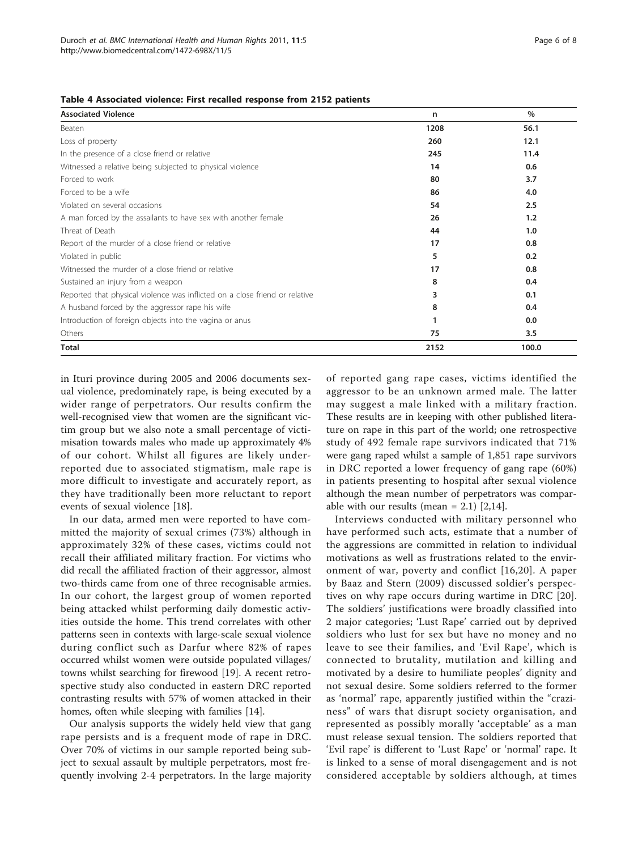<span id="page-5-0"></span>

| <b>Associated Violence</b>                                                  | n    | $\%$  |
|-----------------------------------------------------------------------------|------|-------|
| Beaten                                                                      | 1208 | 56.1  |
| Loss of property                                                            | 260  | 12.1  |
| In the presence of a close friend or relative                               | 245  | 11.4  |
| Witnessed a relative being subjected to physical violence                   | 14   | 0.6   |
| Forced to work                                                              | 80   | 3.7   |
| Forced to be a wife                                                         | 86   | 4.0   |
| Violated on several occasions                                               | 54   | 2.5   |
| A man forced by the assailants to have sex with another female              | 26   | 1.2   |
| Threat of Death                                                             | 44   | 1.0   |
| Report of the murder of a close friend or relative                          | 17   | 0.8   |
| Violated in public                                                          | 5    | 0.2   |
| Witnessed the murder of a close friend or relative                          | 17   | 0.8   |
| Sustained an injury from a weapon                                           | 8    | 0.4   |
| Reported that physical violence was inflicted on a close friend or relative | 3    | 0.1   |
| A husband forced by the aggressor rape his wife                             | 8    | 0.4   |
| Introduction of foreign objects into the vagina or anus                     | 1    | 0.0   |
| Others                                                                      | 75   | 3.5   |
| <b>Total</b>                                                                | 2152 | 100.0 |

in Ituri province during 2005 and 2006 documents sexual violence, predominately rape, is being executed by a wider range of perpetrators. Our results confirm the well-recognised view that women are the significant victim group but we also note a small percentage of victimisation towards males who made up approximately 4% of our cohort. Whilst all figures are likely underreported due to associated stigmatism, male rape is more difficult to investigate and accurately report, as they have traditionally been more reluctant to report events of sexual violence [[18](#page-7-0)].

In our data, armed men were reported to have committed the majority of sexual crimes (73%) although in approximately 32% of these cases, victims could not recall their affiliated military fraction. For victims who did recall the affiliated fraction of their aggressor, almost two-thirds came from one of three recognisable armies. In our cohort, the largest group of women reported being attacked whilst performing daily domestic activities outside the home. This trend correlates with other patterns seen in contexts with large-scale sexual violence during conflict such as Darfur where 82% of rapes occurred whilst women were outside populated villages/ towns whilst searching for firewood [\[19\]](#page-7-0). A recent retrospective study also conducted in eastern DRC reported contrasting results with 57% of women attacked in their homes, often while sleeping with families [\[14](#page-7-0)].

Our analysis supports the widely held view that gang rape persists and is a frequent mode of rape in DRC. Over 70% of victims in our sample reported being subject to sexual assault by multiple perpetrators, most frequently involving 2-4 perpetrators. In the large majority

of reported gang rape cases, victims identified the aggressor to be an unknown armed male. The latter may suggest a male linked with a military fraction. These results are in keeping with other published literature on rape in this part of the world; one retrospective study of 492 female rape survivors indicated that 71% were gang raped whilst a sample of 1,851 rape survivors in DRC reported a lower frequency of gang rape (60%) in patients presenting to hospital after sexual violence although the mean number of perpetrators was comparable with our results (mean =  $2.1$  $2.1$ ) [ $2.14$  $2.14$ ].

Interviews conducted with military personnel who have performed such acts, estimate that a number of the aggressions are committed in relation to individual motivations as well as frustrations related to the environment of war, poverty and conflict [[16](#page-7-0),[20](#page-7-0)]. A paper by Baaz and Stern (2009) discussed soldier's perspectives on why rape occurs during wartime in DRC [[20](#page-7-0)]. The soldiers' justifications were broadly classified into 2 major categories; 'Lust Rape' carried out by deprived soldiers who lust for sex but have no money and no leave to see their families, and 'Evil Rape', which is connected to brutality, mutilation and killing and motivated by a desire to humiliate peoples' dignity and not sexual desire. Some soldiers referred to the former as 'normal' rape, apparently justified within the "craziness" of wars that disrupt society organisation, and represented as possibly morally 'acceptable' as a man must release sexual tension. The soldiers reported that 'Evil rape' is different to 'Lust Rape' or 'normal' rape. It is linked to a sense of moral disengagement and is not considered acceptable by soldiers although, at times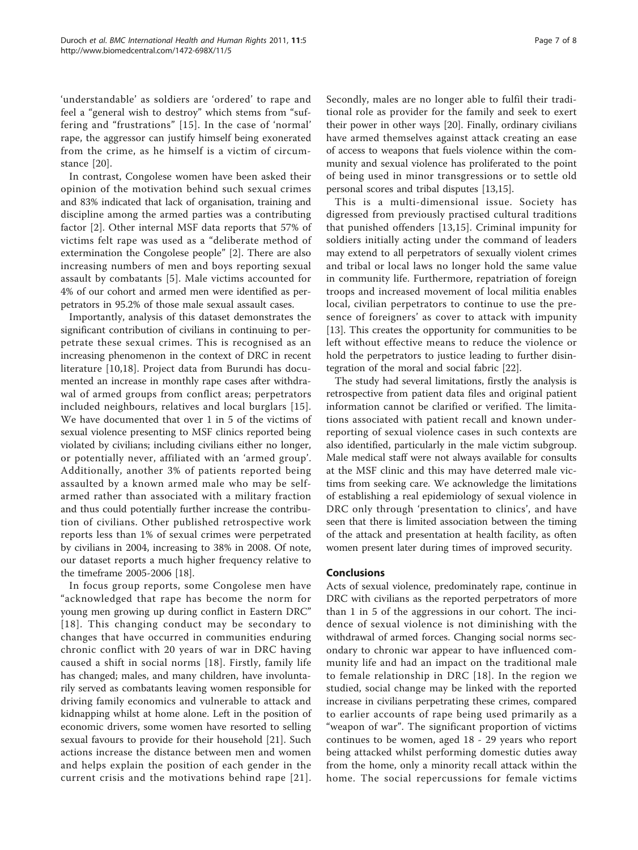'understandable' as soldiers are 'ordered' to rape and feel a "general wish to destroy" which stems from "suffering and "frustrations" [[15](#page-7-0)]. In the case of 'normal' rape, the aggressor can justify himself being exonerated from the crime, as he himself is a victim of circumstance [\[20](#page-7-0)].

In contrast, Congolese women have been asked their opinion of the motivation behind such sexual crimes and 83% indicated that lack of organisation, training and discipline among the armed parties was a contributing factor [[2\]](#page-7-0). Other internal MSF data reports that 57% of victims felt rape was used as a "deliberate method of extermination the Congolese people" [\[2](#page-7-0)]. There are also increasing numbers of men and boys reporting sexual assault by combatants [\[5](#page-7-0)]. Male victims accounted for 4% of our cohort and armed men were identified as perpetrators in 95.2% of those male sexual assault cases.

Importantly, analysis of this dataset demonstrates the significant contribution of civilians in continuing to perpetrate these sexual crimes. This is recognised as an increasing phenomenon in the context of DRC in recent literature [[10,18](#page-7-0)]. Project data from Burundi has documented an increase in monthly rape cases after withdrawal of armed groups from conflict areas; perpetrators included neighbours, relatives and local burglars [[15\]](#page-7-0). We have documented that over 1 in 5 of the victims of sexual violence presenting to MSF clinics reported being violated by civilians; including civilians either no longer, or potentially never, affiliated with an 'armed group'. Additionally, another 3% of patients reported being assaulted by a known armed male who may be selfarmed rather than associated with a military fraction and thus could potentially further increase the contribution of civilians. Other published retrospective work reports less than 1% of sexual crimes were perpetrated by civilians in 2004, increasing to 38% in 2008. Of note, our dataset reports a much higher frequency relative to the timeframe 2005-2006 [[18](#page-7-0)].

In focus group reports, some Congolese men have "acknowledged that rape has become the norm for young men growing up during conflict in Eastern DRC" [[18](#page-7-0)]. This changing conduct may be secondary to changes that have occurred in communities enduring chronic conflict with 20 years of war in DRC having caused a shift in social norms [[18\]](#page-7-0). Firstly, family life has changed; males, and many children, have involuntarily served as combatants leaving women responsible for driving family economics and vulnerable to attack and kidnapping whilst at home alone. Left in the position of economic drivers, some women have resorted to selling sexual favours to provide for their household [[21\]](#page-7-0). Such actions increase the distance between men and women and helps explain the position of each gender in the current crisis and the motivations behind rape [[21\]](#page-7-0). Secondly, males are no longer able to fulfil their traditional role as provider for the family and seek to exert their power in other ways [[20](#page-7-0)]. Finally, ordinary civilians have armed themselves against attack creating an ease of access to weapons that fuels violence within the community and sexual violence has proliferated to the point of being used in minor transgressions or to settle old personal scores and tribal disputes [\[13,15\]](#page-7-0).

This is a multi-dimensional issue. Society has digressed from previously practised cultural traditions that punished offenders [[13,15](#page-7-0)]. Criminal impunity for soldiers initially acting under the command of leaders may extend to all perpetrators of sexually violent crimes and tribal or local laws no longer hold the same value in community life. Furthermore, repatriation of foreign troops and increased movement of local militia enables local, civilian perpetrators to continue to use the presence of foreigners' as cover to attack with impunity [[13\]](#page-7-0). This creates the opportunity for communities to be left without effective means to reduce the violence or hold the perpetrators to justice leading to further disintegration of the moral and social fabric [\[22\]](#page-7-0).

The study had several limitations, firstly the analysis is retrospective from patient data files and original patient information cannot be clarified or verified. The limitations associated with patient recall and known underreporting of sexual violence cases in such contexts are also identified, particularly in the male victim subgroup. Male medical staff were not always available for consults at the MSF clinic and this may have deterred male victims from seeking care. We acknowledge the limitations of establishing a real epidemiology of sexual violence in DRC only through 'presentation to clinics', and have seen that there is limited association between the timing of the attack and presentation at health facility, as often women present later during times of improved security.

### Conclusions

Acts of sexual violence, predominately rape, continue in DRC with civilians as the reported perpetrators of more than 1 in 5 of the aggressions in our cohort. The incidence of sexual violence is not diminishing with the withdrawal of armed forces. Changing social norms secondary to chronic war appear to have influenced community life and had an impact on the traditional male to female relationship in DRC [[18\]](#page-7-0). In the region we studied, social change may be linked with the reported increase in civilians perpetrating these crimes, compared to earlier accounts of rape being used primarily as a "weapon of war". The significant proportion of victims continues to be women, aged 18 - 29 years who report being attacked whilst performing domestic duties away from the home, only a minority recall attack within the home. The social repercussions for female victims